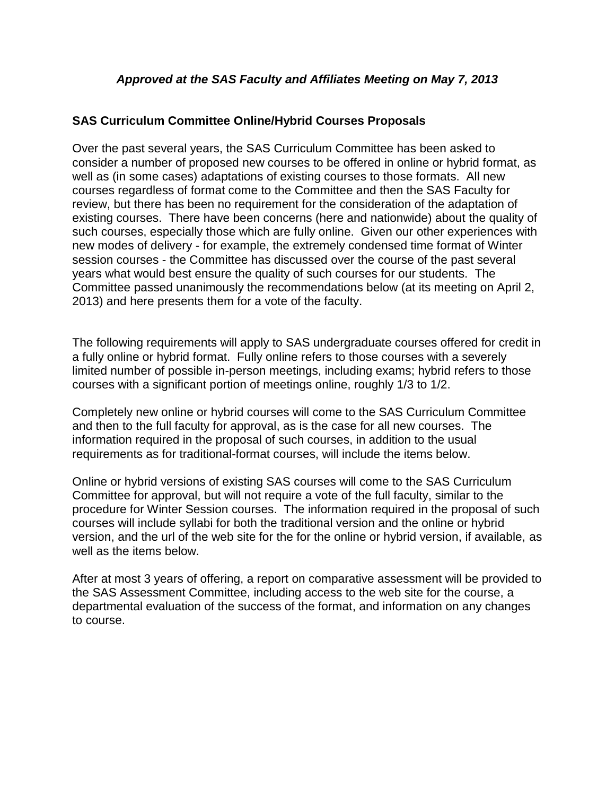## **SAS Curriculum Committee Online/Hybrid Courses Proposals**

Over the past several years, the SAS Curriculum Committee has been asked to consider a number of proposed new courses to be offered in online or hybrid format, as well as (in some cases) adaptations of existing courses to those formats. All new courses regardless of format come to the Committee and then the SAS Faculty for review, but there has been no requirement for the consideration of the adaptation of existing courses. There have been concerns (here and nationwide) about the quality of such courses, especially those which are fully online. Given our other experiences with new modes of delivery - for example, the extremely condensed time format of Winter session courses - the Committee has discussed over the course of the past several years what would best ensure the quality of such courses for our students. The Committee passed unanimously the recommendations below (at its meeting on April 2, 2013) and here presents them for a vote of the faculty.

The following requirements will apply to SAS undergraduate courses offered for credit in a fully online or hybrid format. Fully online refers to those courses with a severely limited number of possible in-person meetings, including exams; hybrid refers to those courses with a significant portion of meetings online, roughly 1/3 to 1/2.

Completely new online or hybrid courses will come to the SAS Curriculum Committee and then to the full faculty for approval, as is the case for all new courses. The information required in the proposal of such courses, in addition to the usual requirements as for traditional-format courses, will include the items below.

Online or hybrid versions of existing SAS courses will come to the SAS Curriculum Committee for approval, but will not require a vote of the full faculty, similar to the procedure for Winter Session courses. The information required in the proposal of such courses will include syllabi for both the traditional version and the online or hybrid version, and the url of the web site for the for the online or hybrid version, if available, as well as the items below.

After at most 3 years of offering, a report on comparative assessment will be provided to the SAS Assessment Committee, including access to the web site for the course, a departmental evaluation of the success of the format, and information on any changes to course.